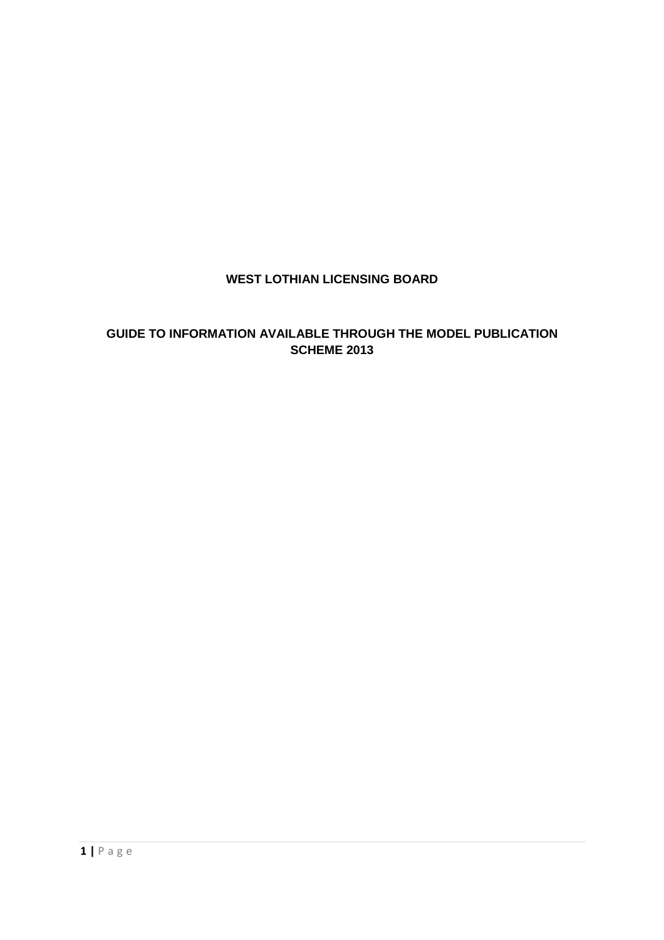## **WEST LOTHIAN LICENSING BOARD**

## **GUIDE TO INFORMATION AVAILABLE THROUGH THE MODEL PUBLICATION SCHEME 2013**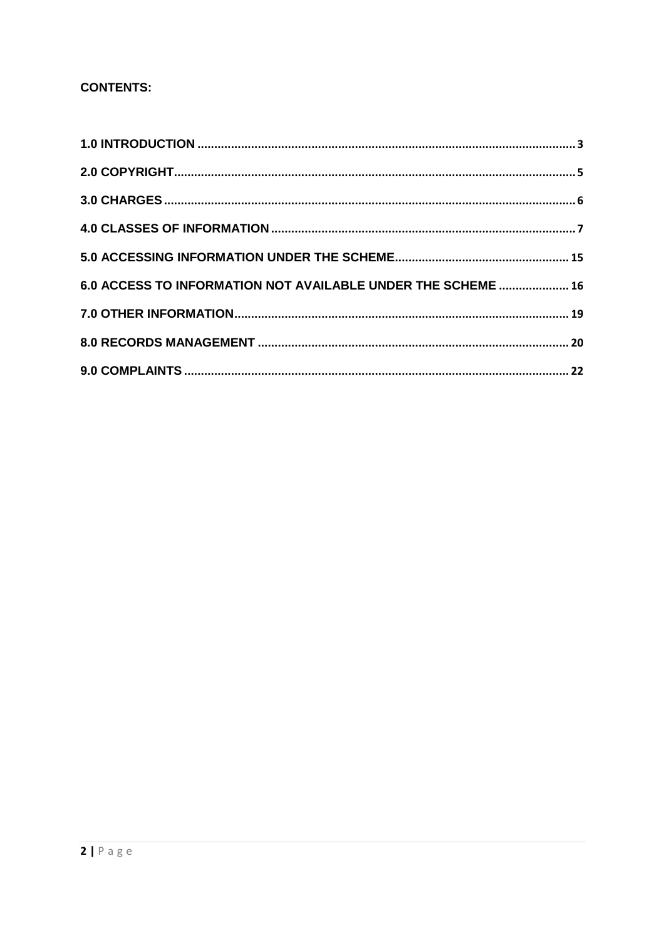## **CONTENTS:**

| 6.0 ACCESS TO INFORMATION NOT AVAILABLE UNDER THE SCHEME  16 |  |
|--------------------------------------------------------------|--|
|                                                              |  |
|                                                              |  |
|                                                              |  |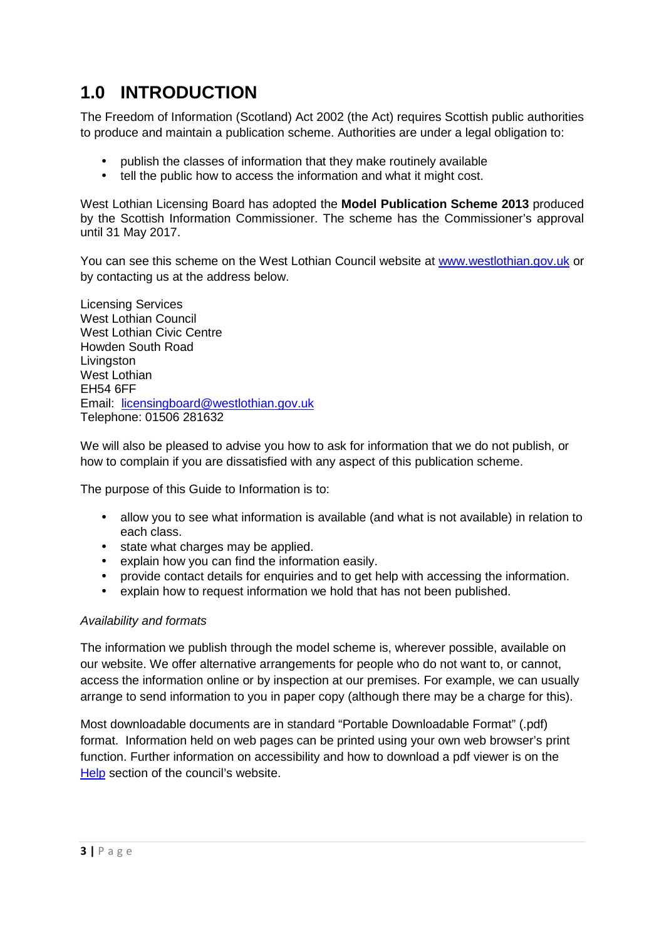## **1.0 INTRODUCTION**

The Freedom of Information (Scotland) Act 2002 (the Act) requires Scottish public authorities to produce and maintain a publication scheme. Authorities are under a legal obligation to:

- publish the classes of information that they make routinely available
- tell the public how to access the information and what it might cost.

West Lothian Licensing Board has adopted the **Model Publication Scheme 2013** produced by the Scottish Information Commissioner. The scheme has the Commissioner's approval until 31 May 2017.

You can see this scheme on the West Lothian Council website at www.westlothian.gov.uk or by contacting us at the address below.

Licensing Services West Lothian Council West Lothian Civic Centre Howden South Road **Livingston** West Lothian EH54 6FF Email: licensingboard@westlothian.gov.uk Telephone: 01506 281632

We will also be pleased to advise you how to ask for information that we do not publish, or how to complain if you are dissatisfied with any aspect of this publication scheme.

The purpose of this Guide to Information is to:

- allow you to see what information is available (and what is not available) in relation to each class.
- state what charges may be applied.
- explain how you can find the information easily.
- provide contact details for enquiries and to get help with accessing the information.
- explain how to request information we hold that has not been published.

#### Availability and formats

The information we publish through the model scheme is, wherever possible, available on our website. We offer alternative arrangements for people who do not want to, or cannot, access the information online or by inspection at our premises. For example, we can usually arrange to send information to you in paper copy (although there may be a charge for this).

Most downloadable documents are in standard "Portable Downloadable Format" (.pdf) format. Information held on web pages can be printed using your own web browser's print function. Further information on accessibility and how to download a pdf viewer is on the Help section of the council's website.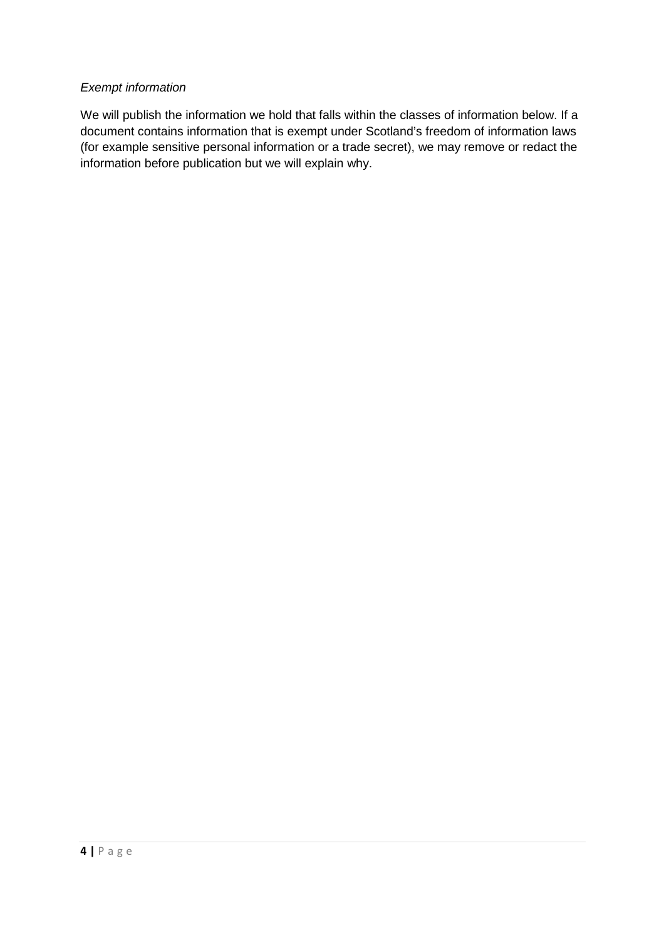#### Exempt information

We will publish the information we hold that falls within the classes of information below. If a document contains information that is exempt under Scotland's freedom of information laws (for example sensitive personal information or a trade secret), we may remove or redact the information before publication but we will explain why.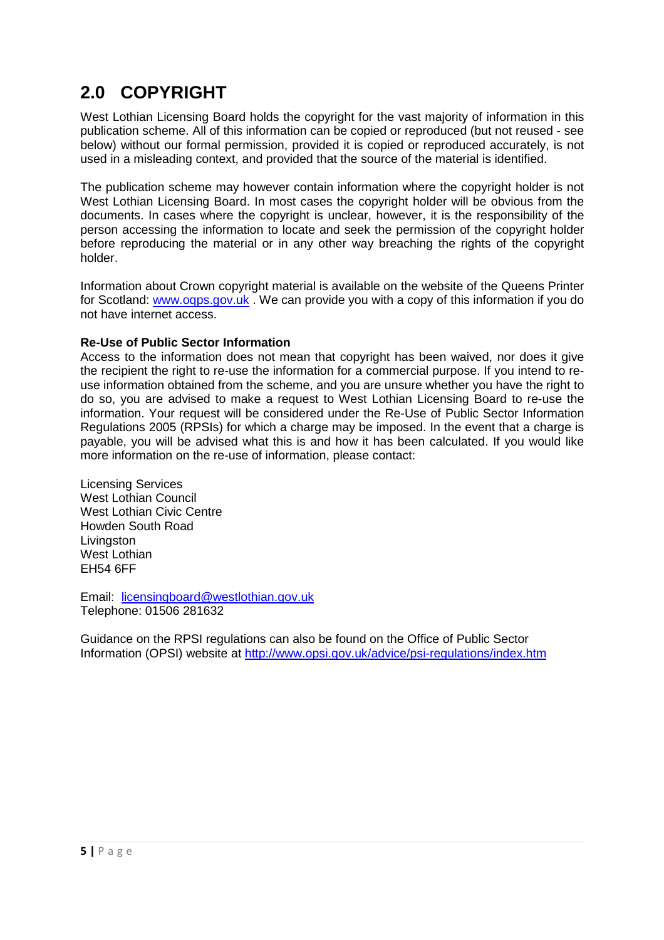# **2.0 COPYRIGHT**

West Lothian Licensing Board holds the copyright for the vast majority of information in this publication scheme. All of this information can be copied or reproduced (but not reused - see below) without our formal permission, provided it is copied or reproduced accurately, is not used in a misleading context, and provided that the source of the material is identified.

The publication scheme may however contain information where the copyright holder is not West Lothian Licensing Board. In most cases the copyright holder will be obvious from the documents. In cases where the copyright is unclear, however, it is the responsibility of the person accessing the information to locate and seek the permission of the copyright holder before reproducing the material or in any other way breaching the rights of the copyright holder.

Information about Crown copyright material is available on the website of the Queens Printer for Scotland: www.oqps.gov.uk . We can provide you with a copy of this information if you do not have internet access.

### **Re-Use of Public Sector Information**

Access to the information does not mean that copyright has been waived, nor does it give the recipient the right to re-use the information for a commercial purpose. If you intend to reuse information obtained from the scheme, and you are unsure whether you have the right to do so, you are advised to make a request to West Lothian Licensing Board to re-use the information. Your request will be considered under the Re-Use of Public Sector Information Regulations 2005 (RPSIs) for which a charge may be imposed. In the event that a charge is payable, you will be advised what this is and how it has been calculated. If you would like more information on the re-use of information, please contact:

Licensing Services West Lothian Council West Lothian Civic Centre Howden South Road Livingston West Lothian EH54 6FF

Email: licensingboard@westlothian.gov.uk Telephone: 01506 281632

Guidance on the RPSI regulations can also be found on the Office of Public Sector Information (OPSI) website at http://www.opsi.gov.uk/advice/psi-regulations/index.htm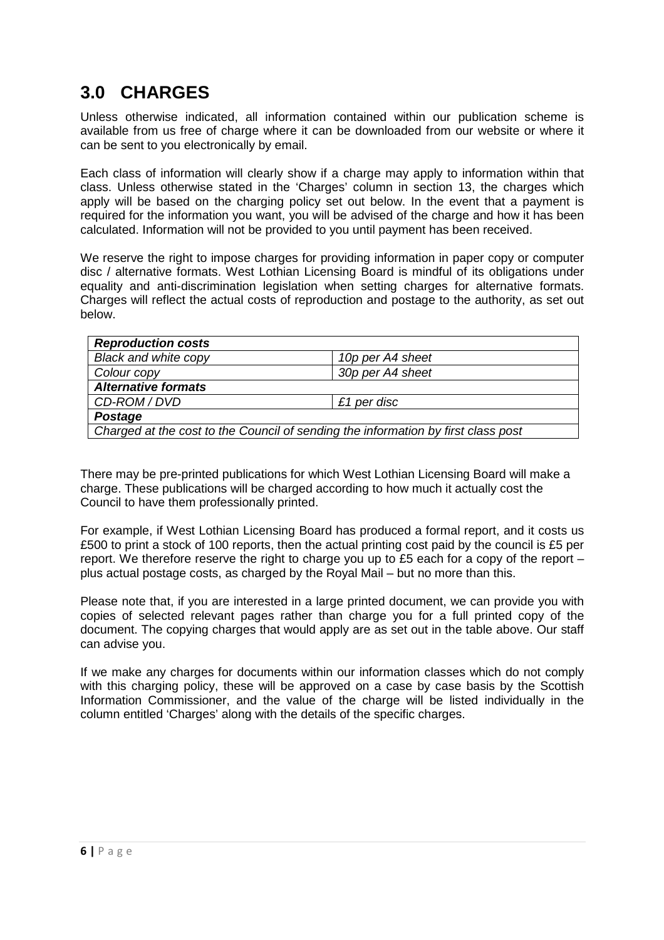## **3.0 CHARGES**

Unless otherwise indicated, all information contained within our publication scheme is available from us free of charge where it can be downloaded from our website or where it can be sent to you electronically by email.

Each class of information will clearly show if a charge may apply to information within that class. Unless otherwise stated in the 'Charges' column in section 13, the charges which apply will be based on the charging policy set out below. In the event that a payment is required for the information you want, you will be advised of the charge and how it has been calculated. Information will not be provided to you until payment has been received.

We reserve the right to impose charges for providing information in paper copy or computer disc / alternative formats. West Lothian Licensing Board is mindful of its obligations under equality and anti-discrimination legislation when setting charges for alternative formats. Charges will reflect the actual costs of reproduction and postage to the authority, as set out below.

| <b>Reproduction costs</b>                                                         |                  |  |  |  |
|-----------------------------------------------------------------------------------|------------------|--|--|--|
| <b>Black and white copy</b>                                                       | 10p per A4 sheet |  |  |  |
| Colour copy                                                                       | 30p per A4 sheet |  |  |  |
| <b>Alternative formats</b>                                                        |                  |  |  |  |
| CD-ROM / DVD                                                                      | £1 per disc      |  |  |  |
| <b>Postage</b>                                                                    |                  |  |  |  |
| Charged at the cost to the Council of sending the information by first class post |                  |  |  |  |

There may be pre-printed publications for which West Lothian Licensing Board will make a charge. These publications will be charged according to how much it actually cost the Council to have them professionally printed.

For example, if West Lothian Licensing Board has produced a formal report, and it costs us £500 to print a stock of 100 reports, then the actual printing cost paid by the council is £5 per report. We therefore reserve the right to charge you up to £5 each for a copy of the report – plus actual postage costs, as charged by the Royal Mail – but no more than this.

Please note that, if you are interested in a large printed document, we can provide you with copies of selected relevant pages rather than charge you for a full printed copy of the document. The copying charges that would apply are as set out in the table above. Our staff can advise you.

If we make any charges for documents within our information classes which do not comply with this charging policy, these will be approved on a case by case basis by the Scottish Information Commissioner, and the value of the charge will be listed individually in the column entitled 'Charges' along with the details of the specific charges.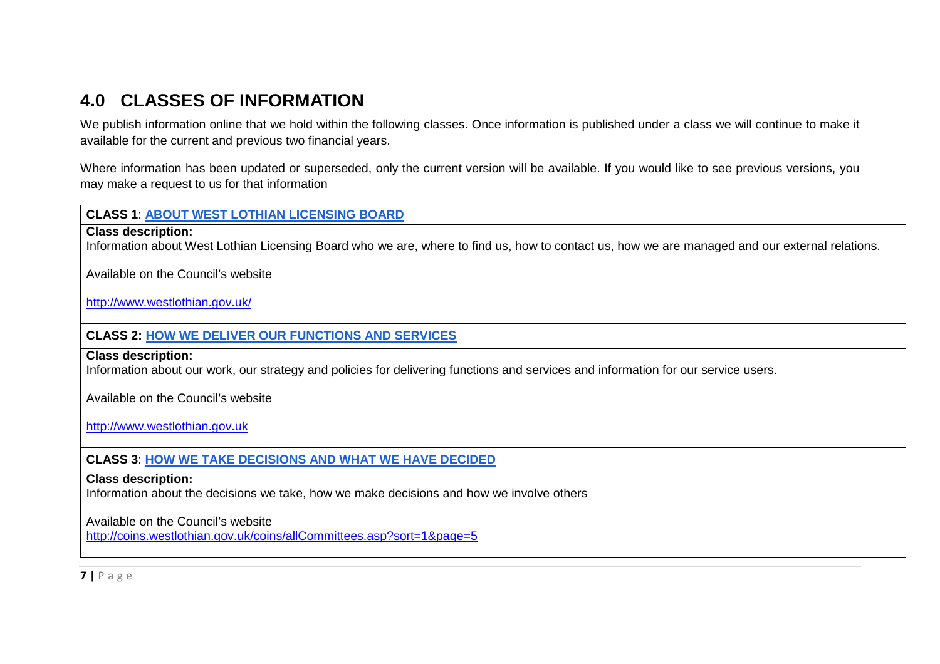## **4.0 CLASSES OF INFORMATION**

We publish information online that we hold within the following classes. Once information is published under a class we will continue to make it available for the current and previous two financial years.

Where information has been updated or superseded, only the current version will be available. If you would like to see previous versions, you may make a request to us for that information

**CLASS 1**: **ABOUT WEST LOTHIAN LICENSING BOARD**

#### **Class description:**

Information about West Lothian Licensing Board who we are, where to find us, how to contact us, how we are managed and our external relations.

Available on the Council's website

http://www.westlothian.gov.uk/

#### **CLASS 2: HOW WE DELIVER OUR FUNCTIONS AND SERVICES**

#### **Class description:**

Information about our work, our strategy and policies for delivering functions and services and information for our service users.

Available on the Council's website

http://www.westlothian.gov.uk

**CLASS 3**: **HOW WE TAKE DECISIONS AND WHAT WE HAVE DECIDED**

#### **Class description:**

Information about the decisions we take, how we make decisions and how we involve others

#### Available on the Council's website

http://coins.westlothian.gov.uk/coins/allCommittees.asp?sort=1&page=5

**7 |** <sup>P</sup> <sup>a</sup> <sup>g</sup> <sup>e</sup>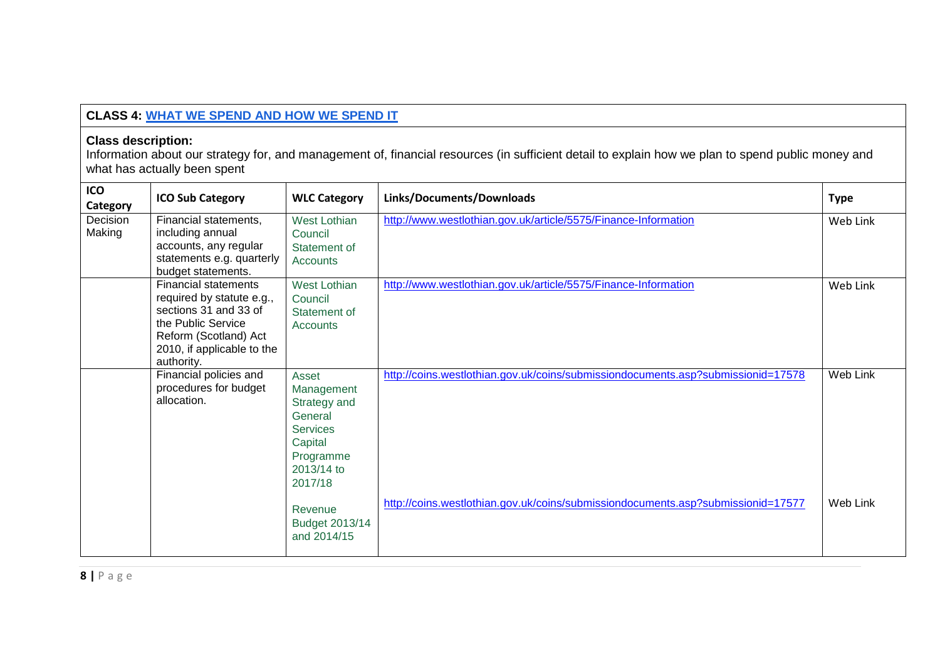## **CLASS 4: WHAT WE SPEND AND HOW WE SPEND IT**

### **Class description:**

Information about our strategy for, and management of, financial resources (in sufficient detail to explain how we plan to spend public money and what has actually been spent

| ICO<br>Category    | <b>ICO Sub Category</b>                                                                                                                                                      | <b>WLC Category</b>                                                                                                | Links/Documents/Downloads                                                        | <b>Type</b> |
|--------------------|------------------------------------------------------------------------------------------------------------------------------------------------------------------------------|--------------------------------------------------------------------------------------------------------------------|----------------------------------------------------------------------------------|-------------|
| Decision<br>Making | Financial statements,<br>including annual<br>accounts, any regular<br>statements e.g. quarterly<br>budget statements.                                                        | West Lothian<br>Council<br>Statement of<br>Accounts                                                                | http://www.westlothian.gov.uk/article/5575/Finance-Information                   | Web Link    |
|                    | <b>Financial statements</b><br>required by statute e.g.,<br>sections 31 and 33 of<br>the Public Service<br>Reform (Scotland) Act<br>2010, if applicable to the<br>authority. | <b>West Lothian</b><br>Council<br>Statement of<br><b>Accounts</b>                                                  | http://www.westlothian.gov.uk/article/5575/Finance-Information                   | Web Link    |
|                    | Financial policies and<br>procedures for budget<br>allocation.                                                                                                               | Asset<br>Management<br>Strategy and<br>General<br><b>Services</b><br>Capital<br>Programme<br>2013/14 to<br>2017/18 | http://coins.westlothian.gov.uk/coins/submissiondocuments.asp?submissionid=17578 | Web Link    |
|                    |                                                                                                                                                                              | Revenue<br>Budget 2013/14<br>and 2014/15                                                                           | http://coins.westlothian.gov.uk/coins/submissiondocuments.asp?submissionid=17577 | Web Link    |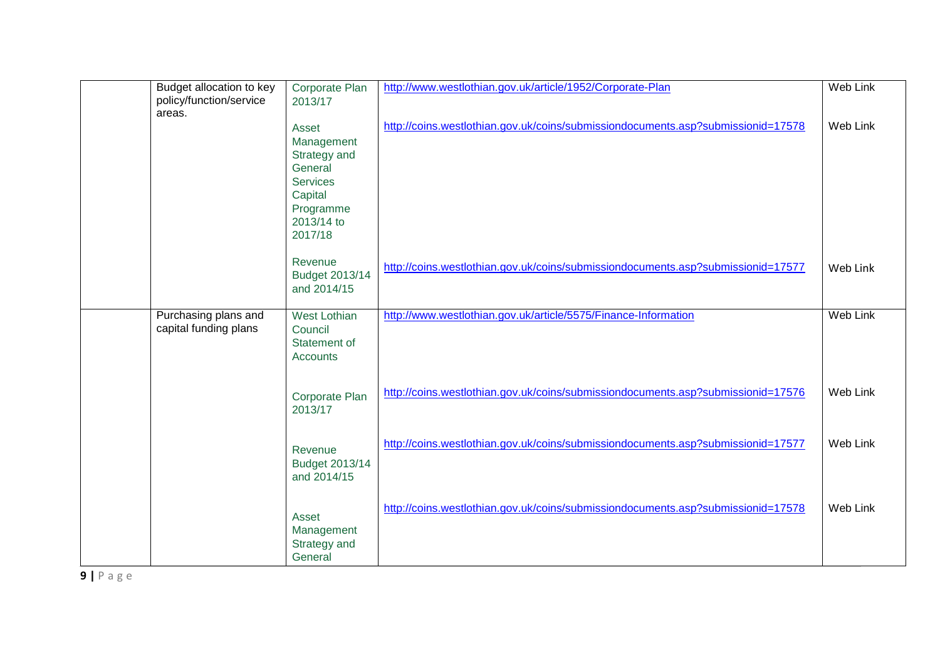| Budget allocation to key<br>policy/function/service<br>areas. | Corporate Plan<br>2013/17                                                                                          | http://www.westlothian.gov.uk/article/1952/Corporate-Plan                        | <b>Web Link</b> |
|---------------------------------------------------------------|--------------------------------------------------------------------------------------------------------------------|----------------------------------------------------------------------------------|-----------------|
|                                                               | Asset<br>Management<br>Strategy and<br>General<br><b>Services</b><br>Capital<br>Programme<br>2013/14 to<br>2017/18 | http://coins.westlothian.gov.uk/coins/submissiondocuments.asp?submissionid=17578 | Web Link        |
|                                                               | Revenue<br>Budget 2013/14<br>and 2014/15                                                                           | http://coins.westlothian.gov.uk/coins/submissiondocuments.asp?submissionid=17577 | Web Link        |
| Purchasing plans and<br>capital funding plans                 | <b>West Lothian</b><br>Council<br>Statement of<br>Accounts                                                         | http://www.westlothian.gov.uk/article/5575/Finance-Information                   | <b>Web Link</b> |
|                                                               | <b>Corporate Plan</b><br>2013/17                                                                                   | http://coins.westlothian.gov.uk/coins/submissiondocuments.asp?submissionid=17576 | Web Link        |
|                                                               | Revenue<br>Budget 2013/14<br>and 2014/15                                                                           | http://coins.westlothian.gov.uk/coins/submissiondocuments.asp?submissionid=17577 | Web Link        |
|                                                               | Asset<br>Management<br>Strategy and<br>General                                                                     | http://coins.westlothian.gov.uk/coins/submissiondocuments.asp?submissionid=17578 | Web Link        |

**9 |** <sup>P</sup> <sup>a</sup> <sup>g</sup> <sup>e</sup>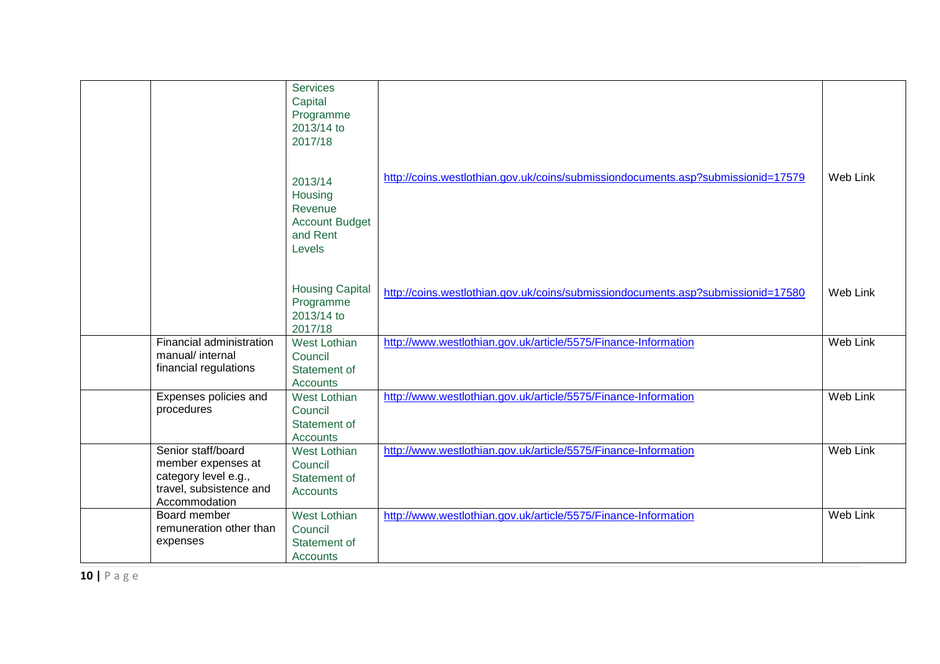|                                                                                                              | <b>Services</b><br>Capital<br>Programme<br>2013/14 to<br>2017/18<br>2013/14<br>Housing<br>Revenue<br><b>Account Budget</b><br>and Rent<br>Levels | http://coins.westlothian.gov.uk/coins/submissiondocuments.asp?submissionid=17579 | Web Link        |
|--------------------------------------------------------------------------------------------------------------|--------------------------------------------------------------------------------------------------------------------------------------------------|----------------------------------------------------------------------------------|-----------------|
|                                                                                                              | <b>Housing Capital</b><br>Programme<br>2013/14 to<br>2017/18                                                                                     | http://coins.westlothian.gov.uk/coins/submissiondocuments.asp?submissionid=17580 | Web Link        |
| Financial administration<br>manual/ internal<br>financial regulations                                        | West Lothian<br>Council<br>Statement of<br><b>Accounts</b>                                                                                       | http://www.westlothian.gov.uk/article/5575/Finance-Information                   | <b>Web Link</b> |
| Expenses policies and<br>procedures                                                                          | <b>West Lothian</b><br>Council<br>Statement of<br><b>Accounts</b>                                                                                | http://www.westlothian.gov.uk/article/5575/Finance-Information                   | Web Link        |
| Senior staff/board<br>member expenses at<br>category level e.g.,<br>travel, subsistence and<br>Accommodation | <b>West Lothian</b><br>Council<br>Statement of<br>Accounts                                                                                       | http://www.westlothian.gov.uk/article/5575/Finance-Information                   | Web Link        |
| Board member<br>remuneration other than<br>expenses                                                          | <b>West Lothian</b><br>Council<br>Statement of<br>Accounts                                                                                       | http://www.westlothian.gov.uk/article/5575/Finance-Information                   | <b>Web Link</b> |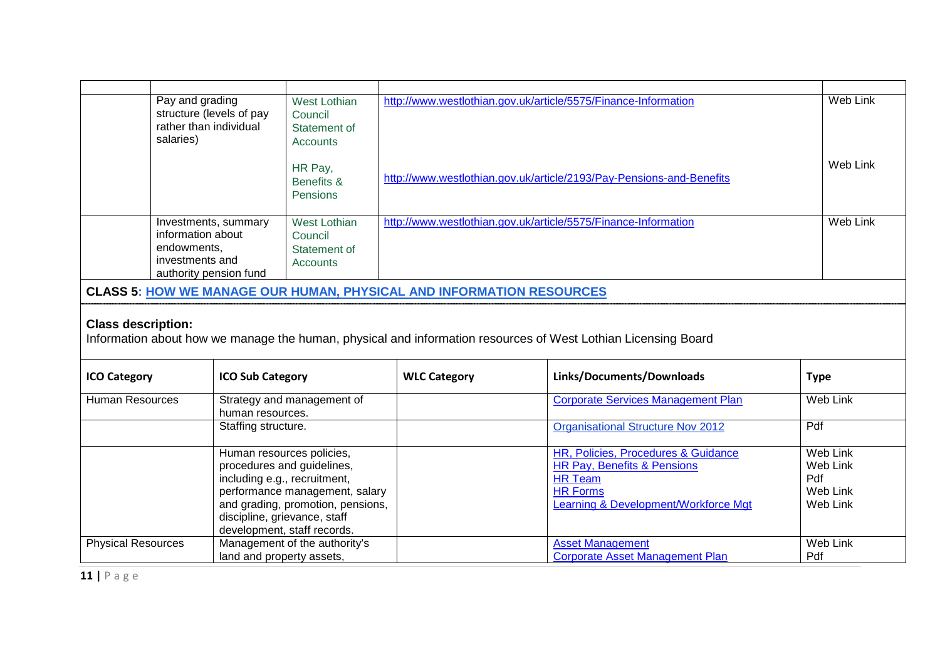| Pay and grading<br>structure (levels of pay<br>rather than individual<br>salaries)                                                                                                                                            |                                                                                                       | <b>West Lothian</b><br>Council<br>Statement of<br><b>Accounts</b><br>HR Pay, |                                                                                                                                                 | http://www.westlothian.gov.uk/article/5575/Finance-Information              | Web Link<br>Web Link                                                                                          |                 |
|-------------------------------------------------------------------------------------------------------------------------------------------------------------------------------------------------------------------------------|-------------------------------------------------------------------------------------------------------|------------------------------------------------------------------------------|-------------------------------------------------------------------------------------------------------------------------------------------------|-----------------------------------------------------------------------------|---------------------------------------------------------------------------------------------------------------|-----------------|
|                                                                                                                                                                                                                               |                                                                                                       |                                                                              | Benefits &<br>Pensions                                                                                                                          |                                                                             | http://www.westlothian.gov.uk/article/2193/Pay-Pensions-and-Benefits                                          |                 |
|                                                                                                                                                                                                                               | Investments, summary<br>information about<br>endowments,<br>investments and<br>authority pension fund |                                                                              | <b>West Lothian</b><br>Council<br>Statement of<br>Accounts                                                                                      |                                                                             | http://www.westlothian.gov.uk/article/5575/Finance-Information                                                | Web Link        |
|                                                                                                                                                                                                                               |                                                                                                       |                                                                              |                                                                                                                                                 | <b>CLASS 5: HOW WE MANAGE OUR HUMAN, PHYSICAL AND INFORMATION RESOURCES</b> |                                                                                                               |                 |
| <b>Class description:</b>                                                                                                                                                                                                     |                                                                                                       |                                                                              |                                                                                                                                                 |                                                                             | Information about how we manage the human, physical and information resources of West Lothian Licensing Board |                 |
| <b>ICO Category</b>                                                                                                                                                                                                           |                                                                                                       | <b>ICO Sub Category</b>                                                      |                                                                                                                                                 | <b>WLC Category</b>                                                         | Links/Documents/Downloads                                                                                     | <b>Type</b>     |
| <b>Human Resources</b>                                                                                                                                                                                                        |                                                                                                       | human resources.                                                             | Strategy and management of                                                                                                                      |                                                                             | <b>Corporate Services Management Plan</b>                                                                     | Web Link        |
|                                                                                                                                                                                                                               |                                                                                                       | Staffing structure.                                                          |                                                                                                                                                 |                                                                             | <b>Organisational Structure Nov 2012</b>                                                                      | Pdf             |
| Human resources policies,<br>procedures and guidelines,<br>including e.g., recruitment,<br>performance management, salary<br>and grading, promotion, pensions,<br>discipline, grievance, staff<br>development, staff records. |                                                                                                       |                                                                              | HR, Policies, Procedures & Guidance<br>HR Pay, Benefits & Pensions<br><b>HR Team</b><br><b>HR Forms</b><br>Learning & Development/Workforce Mgt | Web Link<br>Web Link<br>Pdf<br>Web Link<br>Web Link                         |                                                                                                               |                 |
| Physical Resources                                                                                                                                                                                                            |                                                                                                       | land and property assets,                                                    | Management of the authority's                                                                                                                   |                                                                             | <b>Asset Management</b><br><b>Corporate Asset Management Plan</b>                                             | Web Link<br>Pdf |

**11 |** <sup>P</sup> <sup>a</sup> <sup>g</sup> <sup>e</sup>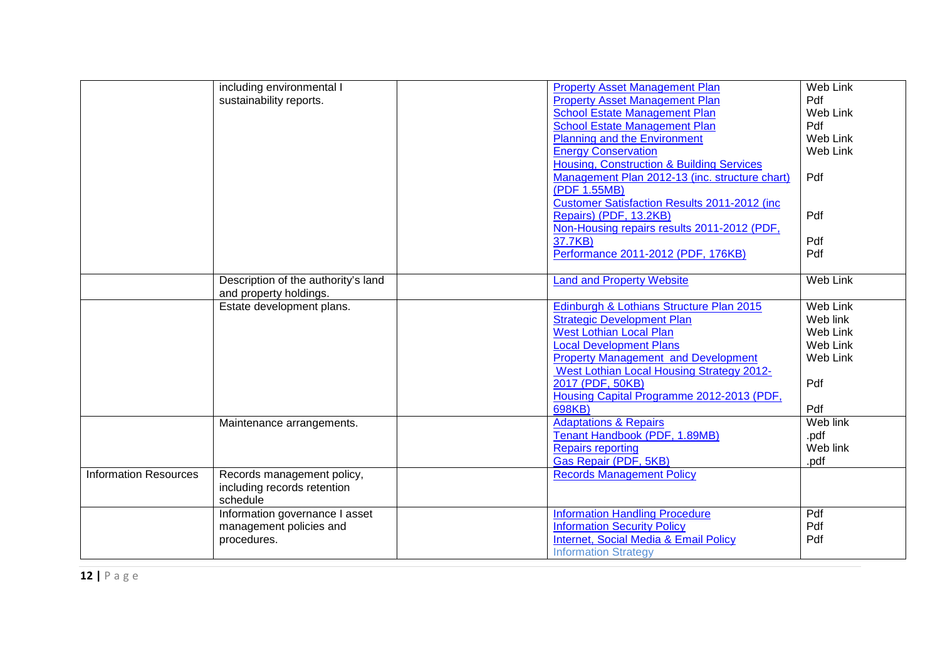|                              | including environmental I           | <b>Property Asset Management Plan</b>                | Web Link        |
|------------------------------|-------------------------------------|------------------------------------------------------|-----------------|
|                              | sustainability reports.             | <b>Property Asset Management Plan</b>                | Pdf             |
|                              |                                     | <b>School Estate Management Plan</b>                 | Web Link        |
|                              |                                     | <b>School Estate Management Plan</b>                 | Pdf             |
|                              |                                     | <b>Planning and the Environment</b>                  | Web Link        |
|                              |                                     | <b>Energy Conservation</b>                           | Web Link        |
|                              |                                     | <b>Housing, Construction &amp; Building Services</b> |                 |
|                              |                                     | Management Plan 2012-13 (inc. structure chart)       | Pdf             |
|                              |                                     | (PDF 1.55MB)                                         |                 |
|                              |                                     | Customer Satisfaction Results 2011-2012 (inc         |                 |
|                              |                                     | Repairs) (PDF, 13.2KB)                               | Pdf             |
|                              |                                     | Non-Housing repairs results 2011-2012 (PDF,          |                 |
|                              |                                     | 37.7KB)                                              | Pdf             |
|                              |                                     | Performance 2011-2012 (PDF, 176KB)                   | Pdf             |
|                              |                                     |                                                      |                 |
|                              | Description of the authority's land | <b>Land and Property Website</b>                     | Web Link        |
|                              | and property holdings.              |                                                      |                 |
|                              | Estate development plans.           | Edinburgh & Lothians Structure Plan 2015             | <b>Web Link</b> |
|                              |                                     | <b>Strategic Development Plan</b>                    | Web link        |
|                              |                                     | <b>West Lothian Local Plan</b>                       | Web Link        |
|                              |                                     | <b>Local Development Plans</b>                       | Web Link        |
|                              |                                     | <b>Property Management and Development</b>           | Web Link        |
|                              |                                     | <b>West Lothian Local Housing Strategy 2012-</b>     |                 |
|                              |                                     | 2017 (PDF, 50KB)                                     | Pdf             |
|                              |                                     | Housing Capital Programme 2012-2013 (PDF,            |                 |
|                              |                                     | 698KB)                                               | Pdf             |
|                              | Maintenance arrangements.           | <b>Adaptations &amp; Repairs</b>                     | Web link        |
|                              |                                     | Tenant Handbook (PDF, 1.89MB)                        | .pdf            |
|                              |                                     | <b>Repairs reporting</b>                             | Web link        |
|                              |                                     | Gas Repair (PDF, 5KB)                                | .pdf            |
| <b>Information Resources</b> | Records management policy,          | <b>Records Management Policy</b>                     |                 |
|                              | including records retention         |                                                      |                 |
|                              | schedule                            |                                                      |                 |
|                              | Information governance I asset      | <b>Information Handling Procedure</b>                | Pdf             |
|                              | management policies and             | <b>Information Security Policy</b>                   | Pdf             |
|                              | procedures.                         | Internet, Social Media & Email Policy                | Pdf             |
|                              |                                     | <b>Information Strategy</b>                          |                 |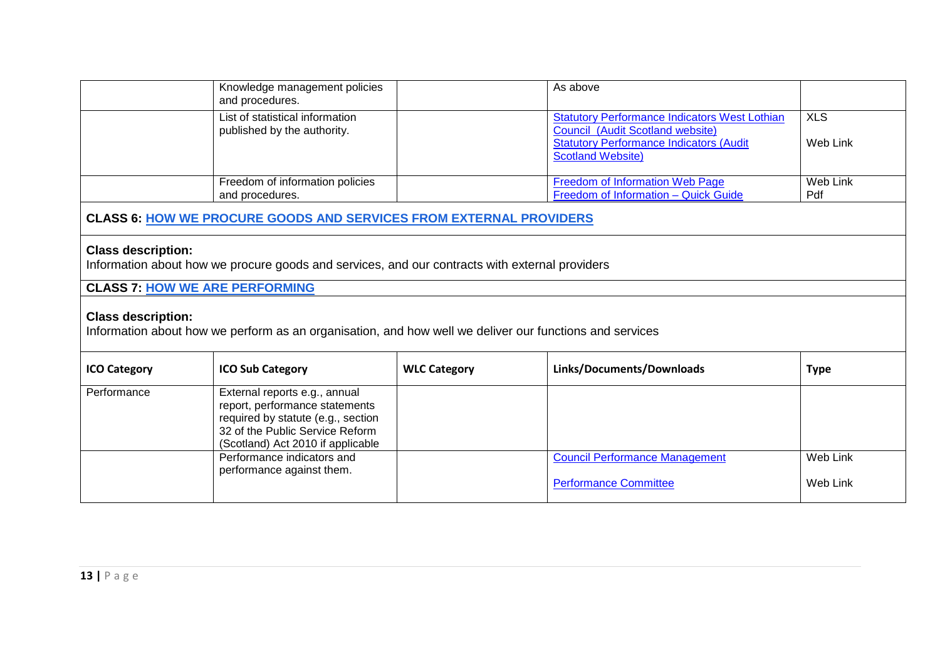| Knowledge management policies<br>and procedures.               | As above                                                                                                                                                               |                        |
|----------------------------------------------------------------|------------------------------------------------------------------------------------------------------------------------------------------------------------------------|------------------------|
| List of statistical information<br>published by the authority. | <b>Statutory Performance Indicators West Lothian</b><br>Council (Audit Scotland website)<br><b>Statutory Performance Indicators (Audit</b><br><b>Scotland Website)</b> | <b>XLS</b><br>Web Link |
| Freedom of information policies<br>and procedures.             | <b>Freedom of Information Web Page</b><br>Freedom of Information - Quick Guide                                                                                         | Web Link<br>Pdf        |

## **CLASS 6: HOW WE PROCURE GOODS AND SERVICES FROM EXTERNAL PROVIDERS**

#### **Class description:**

Information about how we procure goods and services, and our contracts with external providers

### **CLASS 7: HOW WE ARE PERFORMING**

#### **Class description:**

Information about how we perform as an organisation, and how well we deliver our functions and services

| <b>ICO Category</b> | <b>ICO Sub Category</b>                                                                                                                                                       | <b>WLC Category</b> | Links/Documents/Downloads                                             | <b>Type</b>          |
|---------------------|-------------------------------------------------------------------------------------------------------------------------------------------------------------------------------|---------------------|-----------------------------------------------------------------------|----------------------|
| Performance         | External reports e.g., annual<br>report, performance statements<br>required by statute (e.g., section<br>32 of the Public Service Reform<br>(Scotland) Act 2010 if applicable |                     |                                                                       |                      |
|                     | Performance indicators and<br>performance against them.                                                                                                                       |                     | <b>Council Performance Management</b><br><b>Performance Committee</b> | Web Link<br>Web Link |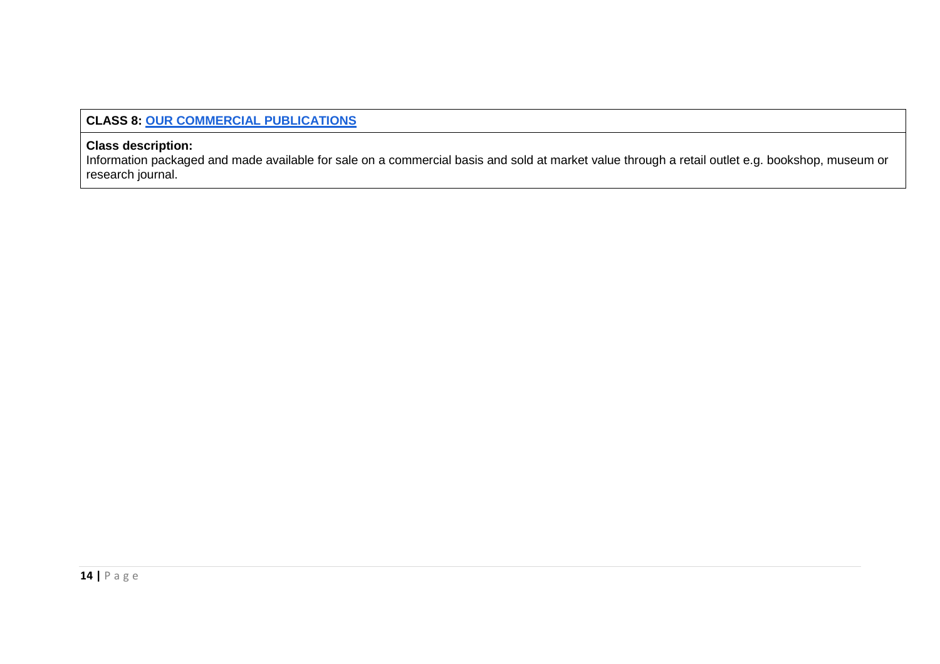## **CLASS 8: OUR COMMERCIAL PUBLICATIONS**

### **Class description:**

 Information packaged and made available for sale on a commercial basis and sold at market value through a retail outlet e.g. bookshop, museum or research journal.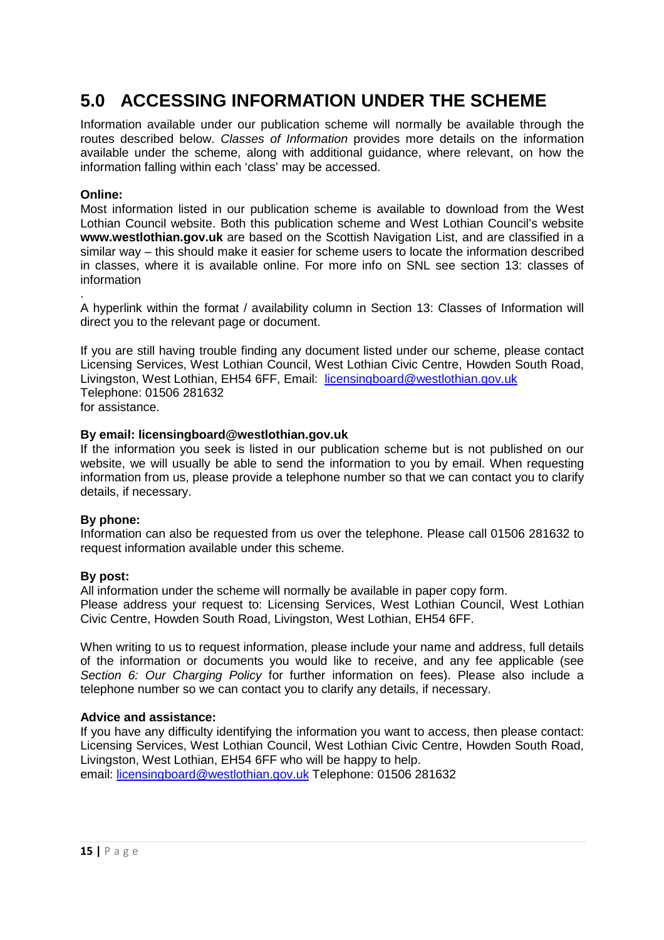# **5.0 ACCESSING INFORMATION UNDER THE SCHEME**

Information available under our publication scheme will normally be available through the routes described below. Classes of Information provides more details on the information available under the scheme, along with additional guidance, where relevant, on how the information falling within each 'class' may be accessed.

#### **Online:**

Most information listed in our publication scheme is available to download from the West Lothian Council website. Both this publication scheme and West Lothian Council's website **www.westlothian.gov.uk** are based on the Scottish Navigation List, and are classified in a similar way – this should make it easier for scheme users to locate the information described in classes, where it is available online. For more info on SNL see section 13: classes of information

. A hyperlink within the format / availability column in Section 13: Classes of Information will direct you to the relevant page or document.

If you are still having trouble finding any document listed under our scheme, please contact Licensing Services, West Lothian Council, West Lothian Civic Centre, Howden South Road, Livingston, West Lothian, EH54 6FF, Email: licensingboard@westlothian.gov.uk Telephone: 01506 281632 for assistance.

#### **By email: licensingboard@westlothian.gov.uk**

If the information you seek is listed in our publication scheme but is not published on our website, we will usually be able to send the information to you by email. When requesting information from us, please provide a telephone number so that we can contact you to clarify details, if necessary.

#### **By phone:**

Information can also be requested from us over the telephone. Please call 01506 281632 to request information available under this scheme.

#### **By post:**

All information under the scheme will normally be available in paper copy form. Please address your request to: Licensing Services, West Lothian Council, West Lothian Civic Centre, Howden South Road, Livingston, West Lothian, EH54 6FF.

When writing to us to request information, please include your name and address, full details of the information or documents you would like to receive, and any fee applicable (see Section 6: Our Charging Policy for further information on fees). Please also include a telephone number so we can contact you to clarify any details, if necessary.

#### **Advice and assistance:**

If you have any difficulty identifying the information you want to access, then please contact: Licensing Services, West Lothian Council, West Lothian Civic Centre, Howden South Road, Livingston, West Lothian, EH54 6FF who will be happy to help. email: licensingboard@westlothian.gov.uk Telephone: 01506 281632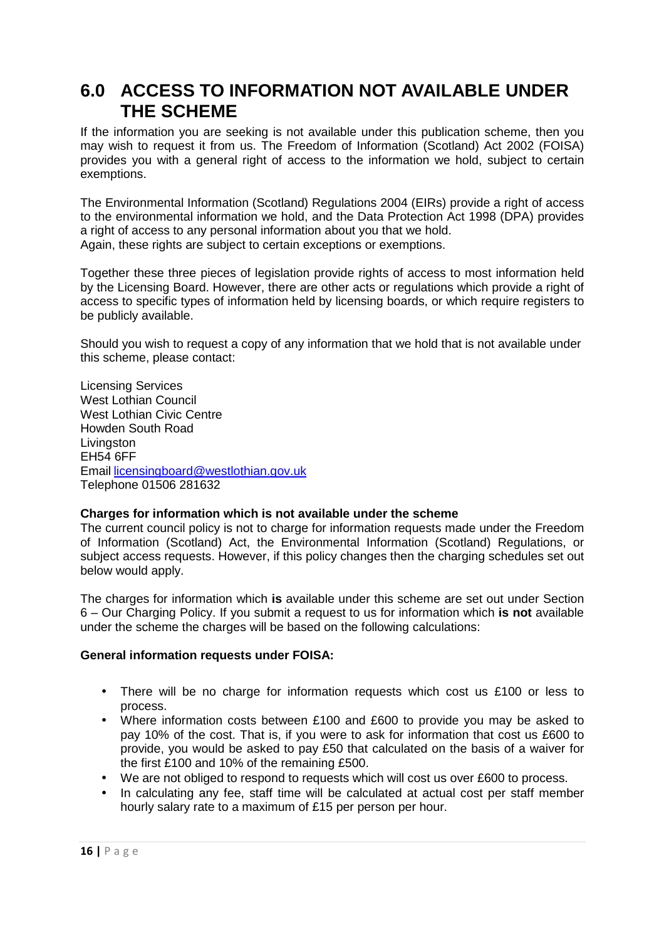## **6.0 ACCESS TO INFORMATION NOT AVAILABLE UNDER THE SCHEME**

If the information you are seeking is not available under this publication scheme, then you may wish to request it from us. The Freedom of Information (Scotland) Act 2002 (FOISA) provides you with a general right of access to the information we hold, subject to certain exemptions.

The Environmental Information (Scotland) Regulations 2004 (EIRs) provide a right of access to the environmental information we hold, and the Data Protection Act 1998 (DPA) provides a right of access to any personal information about you that we hold. Again, these rights are subject to certain exceptions or exemptions.

Together these three pieces of legislation provide rights of access to most information held by the Licensing Board. However, there are other acts or regulations which provide a right of access to specific types of information held by licensing boards, or which require registers to be publicly available.

Should you wish to request a copy of any information that we hold that is not available under this scheme, please contact:

Licensing Services West Lothian Council West Lothian Civic Centre Howden South Road **Livingston** EH54 6FF Email licensingboard@westlothian.gov.uk Telephone 01506 281632

#### **Charges for information which is not available under the scheme**

The current council policy is not to charge for information requests made under the Freedom of Information (Scotland) Act, the Environmental Information (Scotland) Regulations, or subject access requests. However, if this policy changes then the charging schedules set out below would apply.

The charges for information which **is** available under this scheme are set out under Section 6 – Our Charging Policy. If you submit a request to us for information which **is not** available under the scheme the charges will be based on the following calculations:

### **General information requests under FOISA:**

- There will be no charge for information requests which cost us £100 or less to process.
- Where information costs between £100 and £600 to provide you may be asked to pay 10% of the cost. That is, if you were to ask for information that cost us £600 to provide, you would be asked to pay £50 that calculated on the basis of a waiver for the first £100 and 10% of the remaining £500.
- We are not obliged to respond to requests which will cost us over £600 to process.
- In calculating any fee, staff time will be calculated at actual cost per staff member hourly salary rate to a maximum of £15 per person per hour.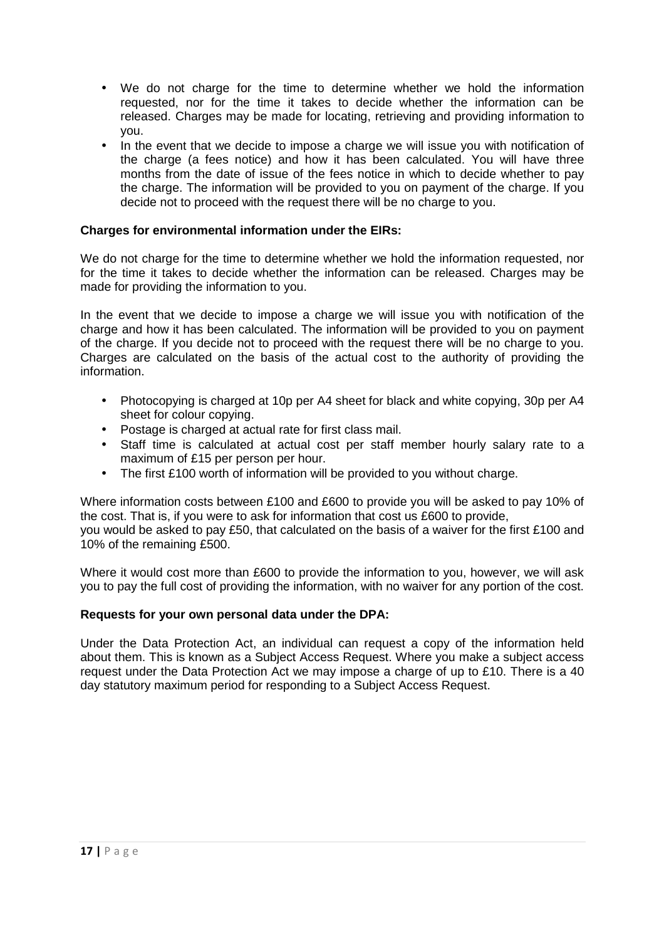- We do not charge for the time to determine whether we hold the information requested, nor for the time it takes to decide whether the information can be released. Charges may be made for locating, retrieving and providing information to you.
- In the event that we decide to impose a charge we will issue you with notification of the charge (a fees notice) and how it has been calculated. You will have three months from the date of issue of the fees notice in which to decide whether to pay the charge. The information will be provided to you on payment of the charge. If you decide not to proceed with the request there will be no charge to you.

#### **Charges for environmental information under the EIRs:**

We do not charge for the time to determine whether we hold the information requested, nor for the time it takes to decide whether the information can be released. Charges may be made for providing the information to you.

In the event that we decide to impose a charge we will issue you with notification of the charge and how it has been calculated. The information will be provided to you on payment of the charge. If you decide not to proceed with the request there will be no charge to you. Charges are calculated on the basis of the actual cost to the authority of providing the information.

- Photocopying is charged at 10p per A4 sheet for black and white copying, 30p per A4 sheet for colour copying.
- Postage is charged at actual rate for first class mail.
- Staff time is calculated at actual cost per staff member hourly salary rate to a maximum of £15 per person per hour.
- The first £100 worth of information will be provided to you without charge.

Where information costs between £100 and £600 to provide you will be asked to pay 10% of the cost. That is, if you were to ask for information that cost us £600 to provide, you would be asked to pay £50, that calculated on the basis of a waiver for the first £100 and 10% of the remaining £500.

Where it would cost more than £600 to provide the information to you, however, we will ask you to pay the full cost of providing the information, with no waiver for any portion of the cost.

#### **Requests for your own personal data under the DPA:**

Under the Data Protection Act, an individual can request a copy of the information held about them. This is known as a Subject Access Request. Where you make a subject access request under the Data Protection Act we may impose a charge of up to £10. There is a 40 day statutory maximum period for responding to a Subject Access Request.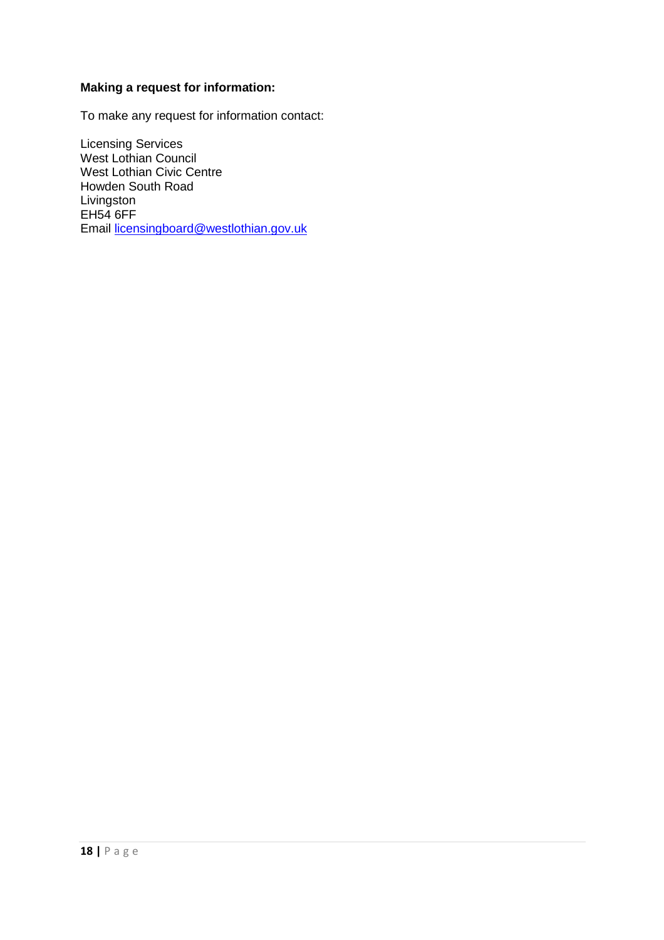## **Making a request for information:**

To make any request for information contact:

Licensing Services West Lothian Council West Lothian Civic Centre Howden South Road Livingston EH54 6FF Email licensingboard@westlothian.gov.uk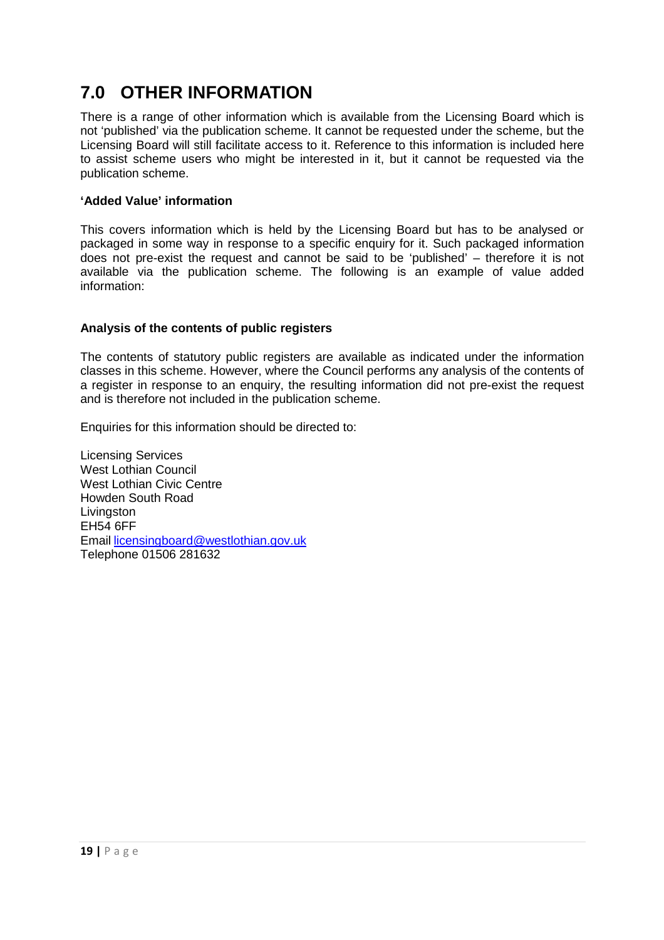# **7.0 OTHER INFORMATION**

There is a range of other information which is available from the Licensing Board which is not 'published' via the publication scheme. It cannot be requested under the scheme, but the Licensing Board will still facilitate access to it. Reference to this information is included here to assist scheme users who might be interested in it, but it cannot be requested via the publication scheme.

#### **'Added Value' information**

This covers information which is held by the Licensing Board but has to be analysed or packaged in some way in response to a specific enquiry for it. Such packaged information does not pre-exist the request and cannot be said to be 'published' – therefore it is not available via the publication scheme. The following is an example of value added information:

### **Analysis of the contents of public registers**

The contents of statutory public registers are available as indicated under the information classes in this scheme. However, where the Council performs any analysis of the contents of a register in response to an enquiry, the resulting information did not pre-exist the request and is therefore not included in the publication scheme.

Enquiries for this information should be directed to:

Licensing Services West Lothian Council West Lothian Civic Centre Howden South Road **Livingston** EH54 6FF Email licensingboard@westlothian.gov.uk Telephone 01506 281632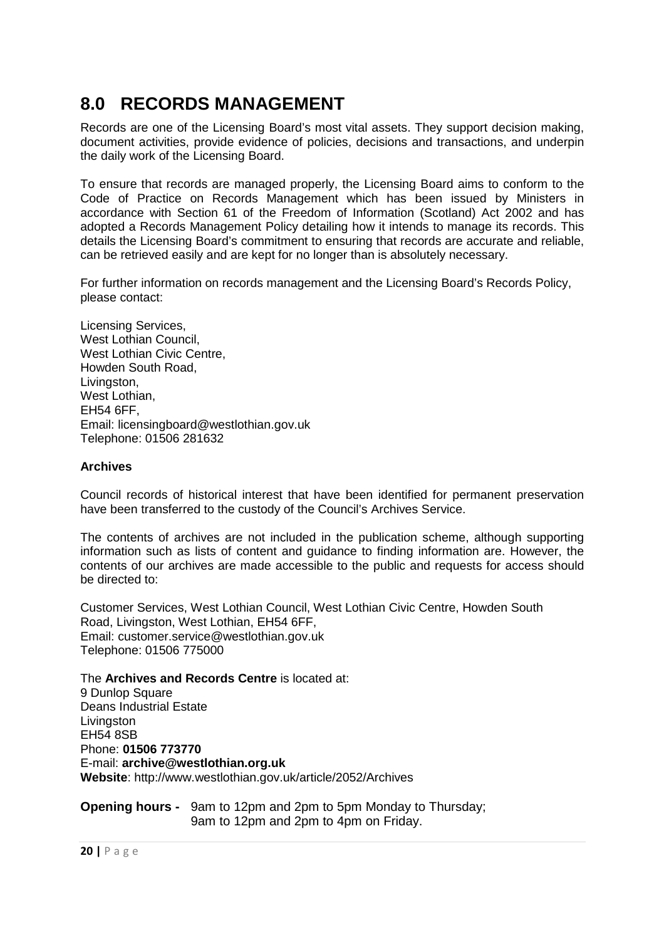## **8.0 RECORDS MANAGEMENT**

Records are one of the Licensing Board's most vital assets. They support decision making, document activities, provide evidence of policies, decisions and transactions, and underpin the daily work of the Licensing Board.

To ensure that records are managed properly, the Licensing Board aims to conform to the Code of Practice on Records Management which has been issued by Ministers in accordance with Section 61 of the Freedom of Information (Scotland) Act 2002 and has adopted a Records Management Policy detailing how it intends to manage its records. This details the Licensing Board's commitment to ensuring that records are accurate and reliable, can be retrieved easily and are kept for no longer than is absolutely necessary.

For further information on records management and the Licensing Board's Records Policy, please contact:

Licensing Services, West Lothian Council, West Lothian Civic Centre, Howden South Road, Livingston, West Lothian, EH54 6FF, Email: licensingboard@westlothian.gov.uk Telephone: 01506 281632

#### **Archives**

Council records of historical interest that have been identified for permanent preservation have been transferred to the custody of the Council's Archives Service.

The contents of archives are not included in the publication scheme, although supporting information such as lists of content and guidance to finding information are. However, the contents of our archives are made accessible to the public and requests for access should be directed to:

Customer Services, West Lothian Council, West Lothian Civic Centre, Howden South Road, Livingston, West Lothian, EH54 6FF, Email: customer.service@westlothian.gov.uk Telephone: 01506 775000

The **Archives and Records Centre** is located at: 9 Dunlop Square Deans Industrial Estate Livingston EH54 8SB Phone: **01506 773770**  E-mail: **archive@westlothian.org.uk Website**: http://www.westlothian.gov.uk/article/2052/Archives

**Opening hours -** 9am to 12pm and 2pm to 5pm Monday to Thursday; 9am to 12pm and 2pm to 4pm on Friday.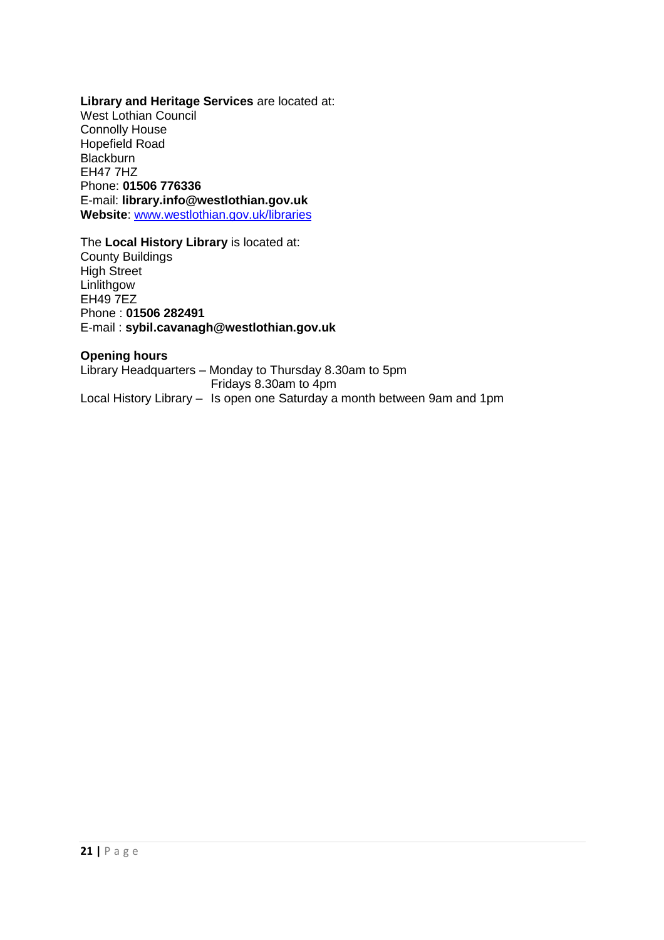#### **Library and Heritage Services** are located at:

West Lothian Council Connolly House Hopefield Road **Blackburn** EH47 7HZ Phone: **01506 776336**  E-mail: **library.info@westlothian.gov.uk Website**: www.westlothian.gov.uk/libraries

The **Local History Library** is located at: County Buildings High Street Linlithgow EH49 7EZ Phone : **01506 282491**  E-mail : **sybil.cavanagh@westlothian.gov.uk** 

**Opening hours**  Library Headquarters – Monday to Thursday 8.30am to 5pm Fridays 8.30am to 4pm Local History Library – Is open one Saturday a month between 9am and 1pm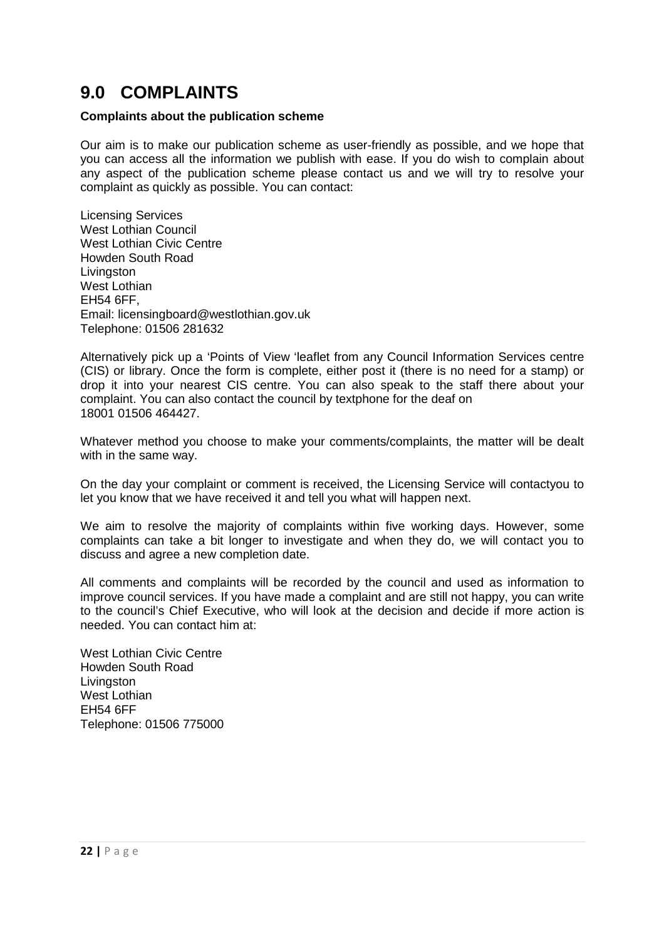## **9.0 COMPLAINTS**

#### **Complaints about the publication scheme**

Our aim is to make our publication scheme as user-friendly as possible, and we hope that you can access all the information we publish with ease. If you do wish to complain about any aspect of the publication scheme please contact us and we will try to resolve your complaint as quickly as possible. You can contact:

Licensing Services West Lothian Council West Lothian Civic Centre Howden South Road Livingston West Lothian EH54 6FF, Email: licensingboard@westlothian.gov.uk Telephone: 01506 281632

Alternatively pick up a 'Points of View 'leaflet from any Council Information Services centre (CIS) or library. Once the form is complete, either post it (there is no need for a stamp) or drop it into your nearest CIS centre. You can also speak to the staff there about your complaint. You can also contact the council by textphone for the deaf on 18001 01506 464427.

Whatever method you choose to make your comments/complaints, the matter will be dealt with in the same way.

On the day your complaint or comment is received, the Licensing Service will contactyou to let you know that we have received it and tell you what will happen next.

We aim to resolve the majority of complaints within five working days. However, some complaints can take a bit longer to investigate and when they do, we will contact you to discuss and agree a new completion date.

All comments and complaints will be recorded by the council and used as information to improve council services. If you have made a complaint and are still not happy, you can write to the council's Chief Executive, who will look at the decision and decide if more action is needed. You can contact him at:

West Lothian Civic Centre Howden South Road **Livingston** West Lothian EH54 6FF Telephone: 01506 775000